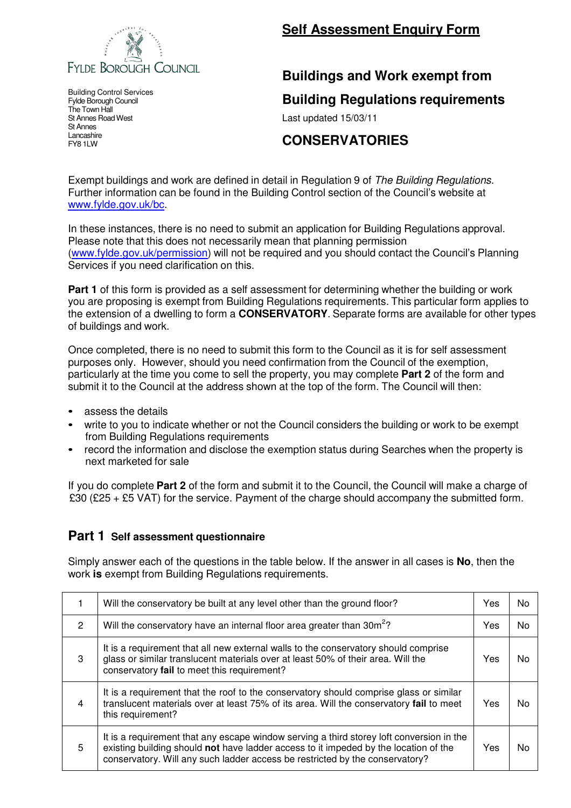

**Self Assessment Enquiry Form**

## **Buildings and Work exempt from**

**Building Regulations requirements**

Last updated 15/03/11

## **CONSERVATORIES**

Exempt buildings and work are defined in detail in Regulation 9 of The Building Regulations. Further information can be found in the Building Control section of the Council's website at www.fylde.gov.uk/bc.

In these instances, there is no need to submit an application for Building Regulations approval. Please note that this does not necessarily mean that planning permission (www.fylde.gov.uk/permission) will not be required and you should contact the Council's Planning Services if you need clarification on this.

**Part 1** of this form is provided as a self assessment for determining whether the building or work you are proposing is exempt from Building Regulations requirements. This particular form applies to the extension of a dwelling to form a **CONSERVATORY**. Separate forms are available for other types of buildings and work.

Once completed, there is no need to submit this form to the Council as it is for self assessment purposes only. However, should you need confirmation from the Council of the exemption, particularly at the time you come to sell the property, you may complete **Part 2** of the form and submit it to the Council at the address shown at the top of the form. The Council will then:

- assess the details
- write to you to indicate whether or not the Council considers the building or work to be exempt from Building Regulations requirements
- record the information and disclose the exemption status during Searches when the property is next marketed for sale

If you do complete **Part 2** of the form and submit it to the Council, the Council will make a charge of £30 (£25 + £5 VAT) for the service. Payment of the charge should accompany the submitted form.

## **Part 1 Self assessment questionnaire**

Simply answer each of the questions in the table below. If the answer in all cases is **No**, then the work **is** exempt from Building Regulations requirements.

|                | Will the conservatory be built at any level other than the ground floor?                                                                                                                                                                                         | Yes | N٥ |
|----------------|------------------------------------------------------------------------------------------------------------------------------------------------------------------------------------------------------------------------------------------------------------------|-----|----|
| 2              | Will the conservatory have an internal floor area greater than 30m <sup>2</sup> ?                                                                                                                                                                                | Yes | N٥ |
| 3              | It is a requirement that all new external walls to the conservatory should comprise<br>glass or similar translucent materials over at least 50% of their area. Will the<br>conservatory fail to meet this requirement?                                           | Yes | N٥ |
| $\overline{4}$ | It is a requirement that the roof to the conservatory should comprise glass or similar<br>translucent materials over at least 75% of its area. Will the conservatory fail to meet<br>this requirement?                                                           | Yes | N٥ |
| .5             | It is a requirement that any escape window serving a third storey loft conversion in the<br>existing building should not have ladder access to it impeded by the location of the<br>conservatory. Will any such ladder access be restricted by the conservatory? | Yes | N٥ |

Building Control Services Fylde Borough Council The Town Hall St Annes Road West St Annes Lancashire FY8 1LW